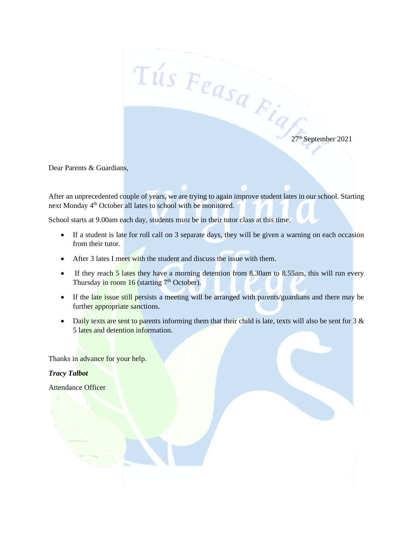$\frac{27}{100}$   $\frac{1}{10}$   $\frac{1}{10}$   $\frac{1}{2}$   $\frac{1}{2}$   $\frac{1}{2}$   $\frac{1}{2}$   $\frac{1}{2}$   $\frac{1}{2}$   $\frac{1}{2}$   $\frac{1}{2}$   $\frac{1}{2}$   $\frac{1}{2}$   $\frac{1}{2}$   $\frac{1}{2}$   $\frac{1}{2}$   $\frac{1}{2}$   $\frac{1}{2}$   $\frac{1}{2}$   $\frac{1}{2}$   $\frac{1}{2}$   $\frac{1}{$ 

Dear Parents & Guardians,

After an unprecedented couple of years, we are trying to again improve student lates in our school. Starting next Monday 4<sup>th</sup> October all lates to school with be monitored.

School starts at 9.00am each day, students must be in their tutor class at this time.

- If a student is late for roll call on 3 separate days, they will be given a warning on each occasion from their tutor.
- After 3 lates I meet with the student and discuss the issue with them.
- If they reach 5 lates they have a morning detention from 8.30am to 8.55am, this will run every Thursday in room  $16$  (starting  $7<sup>th</sup>$  October).
- If the late issue still persists a meeting will be arranged with parents/guardians and there may be further appropriate sanctions.
- Daily texts are sent to parents informing them that their child is late, texts will also be sent for  $3 \&$ 5 lates and detention information.

Thanks in advance for your help.

*Tracy Talbot* 

Attendance Officer